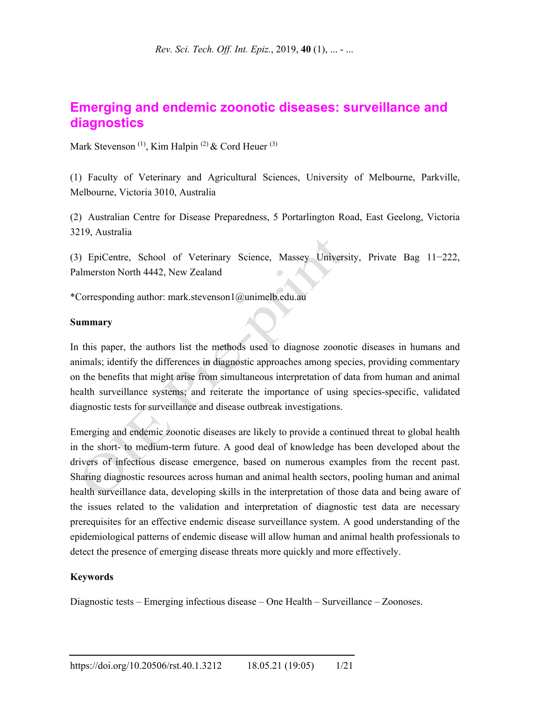## **Emerging and endemic zoonotic diseases: surveillance and diagnostics**

Mark Stevenson<sup>(1)</sup>, Kim Halpin<sup>(2)</sup> & Cord Heuer<sup>(3)</sup>

(1) Faculty of Veterinary and Agricultural Sciences, University of Melbourne, Parkville, Melbourne, Victoria 3010, Australia

(2) Australian Centre for Disease Preparedness, 5 Portarlington Road, East Geelong, Victoria 3219, Australia

(3) EpiCentre, School of Veterinary Science, Massey University, Private Bag 11−222, Palmerston North 4442, New Zealand

\*Corresponding author: mark.stevenson1@unimelb.edu.au

#### **Summary**

In this paper, the authors list the methods used to diagnose zoonotic diseases in humans and animals; identify the differences in diagnostic approaches among species, providing commentary on the benefits that might arise from simultaneous interpretation of data from human and animal health surveillance systems; and reiterate the importance of using species-specific, validated diagnostic tests for surveillance and disease outbreak investigations.

Emerging and endemic zoonotic diseases are likely to provide a continued threat to global health in the short- to medium-term future. A good deal of knowledge has been developed about the drivers of infectious disease emergence, based on numerous examples from the recent past. Sharing diagnostic resources across human and animal health sectors, pooling human and animal health surveillance data, developing skills in the interpretation of those data and being aware of the issues related to the validation and interpretation of diagnostic test data are necessary prerequisites for an effective endemic disease surveillance system. A good understanding of the epidemiological patterns of endemic disease will allow human and animal health professionals to detect the presence of emerging disease threats more quickly and more effectively.

#### **Keywords**

Diagnostic tests – Emerging infectious disease – One Health – Surveillance – Zoonoses.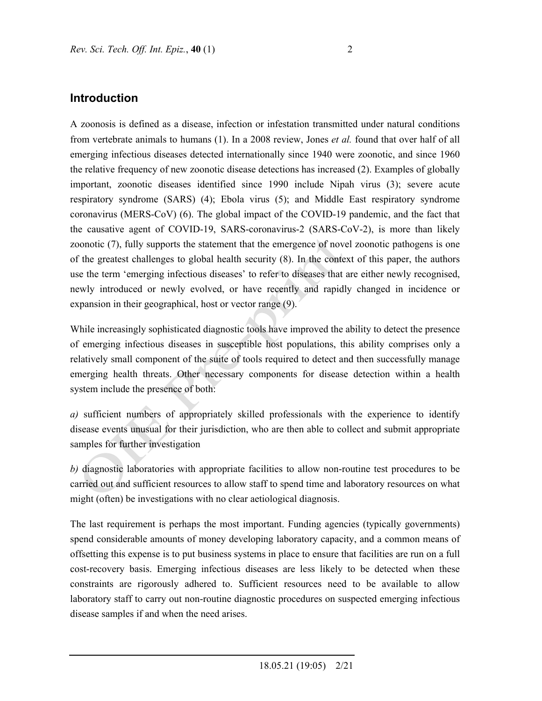### **Introduction**

A zoonosis is defined as a disease, infection or infestation transmitted under natural conditions from vertebrate animals to humans (1). In a 2008 review, Jones *et al.* found that over half of all emerging infectious diseases detected internationally since 1940 were zoonotic, and since 1960 the relative frequency of new zoonotic disease detections has increased (2). Examples of globally important, zoonotic diseases identified since 1990 include Nipah virus (3); severe acute respiratory syndrome (SARS) (4); Ebola virus (5); and Middle East respiratory syndrome coronavirus (MERS-CoV) (6). The global impact of the COVID-19 pandemic, and the fact that the causative agent of COVID-19, SARS-coronavirus-2 (SARS-CoV-2), is more than likely zoonotic (7), fully supports the statement that the emergence of novel zoonotic pathogens is one of the greatest challenges to global health security (8). In the context of this paper, the authors use the term 'emerging infectious diseases' to refer to diseases that are either newly recognised, newly introduced or newly evolved, or have recently and rapidly changed in incidence or expansion in their geographical, host or vector range (9).

While increasingly sophisticated diagnostic tools have improved the ability to detect the presence of emerging infectious diseases in susceptible host populations, this ability comprises only a relatively small component of the suite of tools required to detect and then successfully manage emerging health threats. Other necessary components for disease detection within a health system include the presence of both:

*a)* sufficient numbers of appropriately skilled professionals with the experience to identify disease events unusual for their jurisdiction, who are then able to collect and submit appropriate samples for further investigation

*b)* diagnostic laboratories with appropriate facilities to allow non-routine test procedures to be carried out and sufficient resources to allow staff to spend time and laboratory resources on what might (often) be investigations with no clear aetiological diagnosis.

The last requirement is perhaps the most important. Funding agencies (typically governments) spend considerable amounts of money developing laboratory capacity, and a common means of offsetting this expense is to put business systems in place to ensure that facilities are run on a full cost-recovery basis. Emerging infectious diseases are less likely to be detected when these constraints are rigorously adhered to. Sufficient resources need to be available to allow laboratory staff to carry out non-routine diagnostic procedures on suspected emerging infectious disease samples if and when the need arises.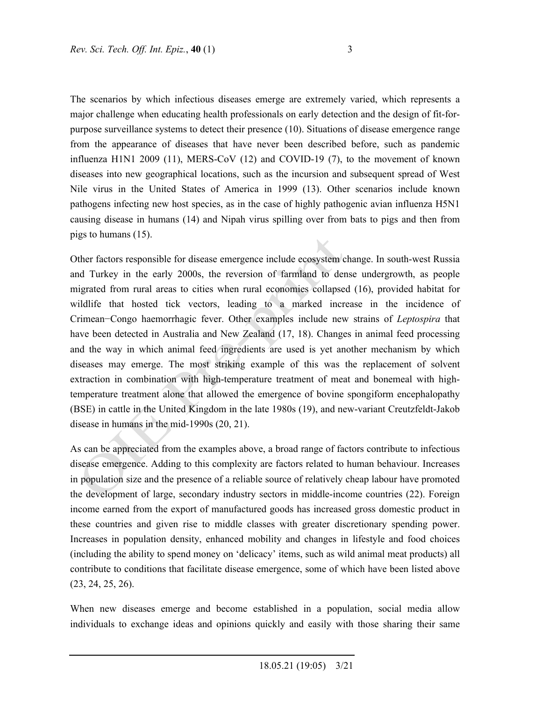The scenarios by which infectious diseases emerge are extremely varied, which represents a major challenge when educating health professionals on early detection and the design of fit-forpurpose surveillance systems to detect their presence (10). Situations of disease emergence range from the appearance of diseases that have never been described before, such as pandemic influenza H1N1 2009 (11), MERS-CoV (12) and COVID-19 (7), to the movement of known diseases into new geographical locations, such as the incursion and subsequent spread of West Nile virus in the United States of America in 1999 (13). Other scenarios include known pathogens infecting new host species, as in the case of highly pathogenic avian influenza H5N1 causing disease in humans (14) and Nipah virus spilling over from bats to pigs and then from pigs to humans (15).

Other factors responsible for disease emergence include ecosystem change. In south-west Russia and Turkey in the early 2000s, the reversion of farmland to dense undergrowth, as people migrated from rural areas to cities when rural economies collapsed (16), provided habitat for wildlife that hosted tick vectors, leading to a marked increase in the incidence of Crimean−Congo haemorrhagic fever. Other examples include new strains of *Leptospira* that have been detected in Australia and New Zealand (17, 18). Changes in animal feed processing and the way in which animal feed ingredients are used is yet another mechanism by which diseases may emerge. The most striking example of this was the replacement of solvent extraction in combination with high-temperature treatment of meat and bonemeal with hightemperature treatment alone that allowed the emergence of bovine spongiform encephalopathy (BSE) in cattle in the United Kingdom in the late 1980s (19), and new-variant Creutzfeldt-Jakob disease in humans in the mid-1990s (20, 21).

As can be appreciated from the examples above, a broad range of factors contribute to infectious disease emergence. Adding to this complexity are factors related to human behaviour. Increases in population size and the presence of a reliable source of relatively cheap labour have promoted the development of large, secondary industry sectors in middle-income countries (22). Foreign income earned from the export of manufactured goods has increased gross domestic product in these countries and given rise to middle classes with greater discretionary spending power. Increases in population density, enhanced mobility and changes in lifestyle and food choices (including the ability to spend money on 'delicacy' items, such as wild animal meat products) all contribute to conditions that facilitate disease emergence, some of which have been listed above (23, 24, 25, 26).

When new diseases emerge and become established in a population, social media allow individuals to exchange ideas and opinions quickly and easily with those sharing their same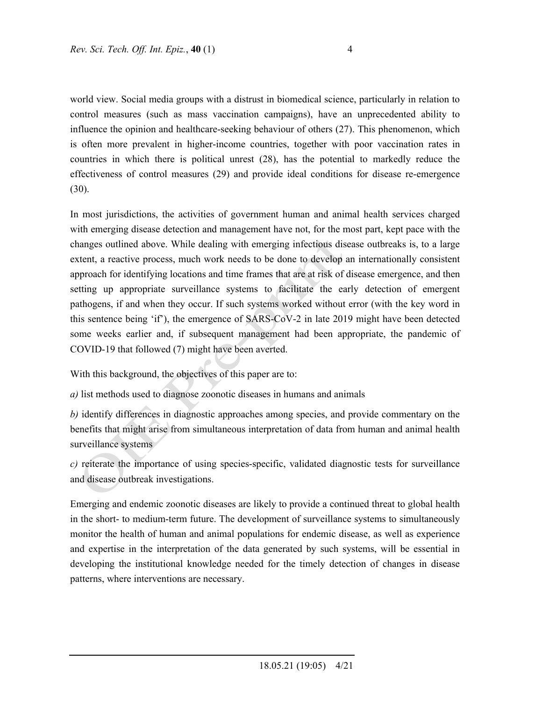world view. Social media groups with a distrust in biomedical science, particularly in relation to control measures (such as mass vaccination campaigns), have an unprecedented ability to influence the opinion and healthcare-seeking behaviour of others (27). This phenomenon, which is often more prevalent in higher-income countries, together with poor vaccination rates in countries in which there is political unrest (28), has the potential to markedly reduce the effectiveness of control measures (29) and provide ideal conditions for disease re-emergence (30).

In most jurisdictions, the activities of government human and animal health services charged with emerging disease detection and management have not, for the most part, kept pace with the changes outlined above. While dealing with emerging infectious disease outbreaks is, to a large extent, a reactive process, much work needs to be done to develop an internationally consistent approach for identifying locations and time frames that are at risk of disease emergence, and then setting up appropriate surveillance systems to facilitate the early detection of emergent pathogens, if and when they occur. If such systems worked without error (with the key word in this sentence being 'if'), the emergence of SARS-CoV-2 in late 2019 might have been detected some weeks earlier and, if subsequent management had been appropriate, the pandemic of COVID-19 that followed (7) might have been averted.

With this background, the objectives of this paper are to:

*a)* list methods used to diagnose zoonotic diseases in humans and animals

*b)* identify differences in diagnostic approaches among species, and provide commentary on the benefits that might arise from simultaneous interpretation of data from human and animal health surveillance systems

*c)* reiterate the importance of using species-specific, validated diagnostic tests for surveillance and disease outbreak investigations.

Emerging and endemic zoonotic diseases are likely to provide a continued threat to global health in the short- to medium-term future. The development of surveillance systems to simultaneously monitor the health of human and animal populations for endemic disease, as well as experience and expertise in the interpretation of the data generated by such systems, will be essential in developing the institutional knowledge needed for the timely detection of changes in disease patterns, where interventions are necessary.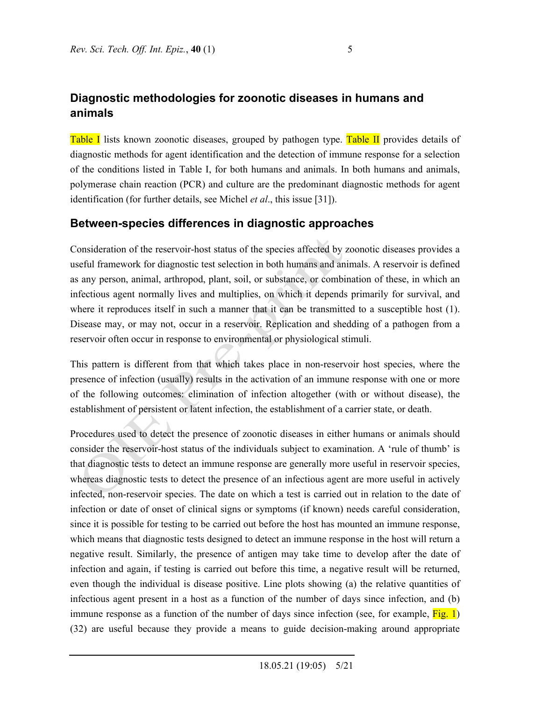## **Diagnostic methodologies for zoonotic diseases in humans and animals**

Table I lists known zoonotic diseases, grouped by pathogen type. Table II provides details of diagnostic methods for agent identification and the detection of immune response for a selection of the conditions listed in Table I, for both humans and animals. In both humans and animals, polymerase chain reaction (PCR) and culture are the predominant diagnostic methods for agent identification (for further details, see Michel *et al*., this issue [31]).

### **Between-species differences in diagnostic approaches**

Consideration of the reservoir-host status of the species affected by zoonotic diseases provides a useful framework for diagnostic test selection in both humans and animals. A reservoir is defined as any person, animal, arthropod, plant, soil, or substance, or combination of these, in which an infectious agent normally lives and multiplies, on which it depends primarily for survival, and where it reproduces itself in such a manner that it can be transmitted to a susceptible host (1). Disease may, or may not, occur in a reservoir. Replication and shedding of a pathogen from a reservoir often occur in response to environmental or physiological stimuli.

This pattern is different from that which takes place in non-reservoir host species, where the presence of infection (usually) results in the activation of an immune response with one or more of the following outcomes: elimination of infection altogether (with or without disease), the establishment of persistent or latent infection, the establishment of a carrier state, or death.

Procedures used to detect the presence of zoonotic diseases in either humans or animals should consider the reservoir-host status of the individuals subject to examination. A 'rule of thumb' is that diagnostic tests to detect an immune response are generally more useful in reservoir species, whereas diagnostic tests to detect the presence of an infectious agent are more useful in actively infected, non-reservoir species. The date on which a test is carried out in relation to the date of infection or date of onset of clinical signs or symptoms (if known) needs careful consideration, since it is possible for testing to be carried out before the host has mounted an immune response, which means that diagnostic tests designed to detect an immune response in the host will return a negative result. Similarly, the presence of antigen may take time to develop after the date of infection and again, if testing is carried out before this time, a negative result will be returned, even though the individual is disease positive. Line plots showing (a) the relative quantities of infectious agent present in a host as a function of the number of days since infection, and (b) immune response as a function of the number of days since infection (see, for example,  $\overline{Fig. 1}$ ) (32) are useful because they provide a means to guide decision-making around appropriate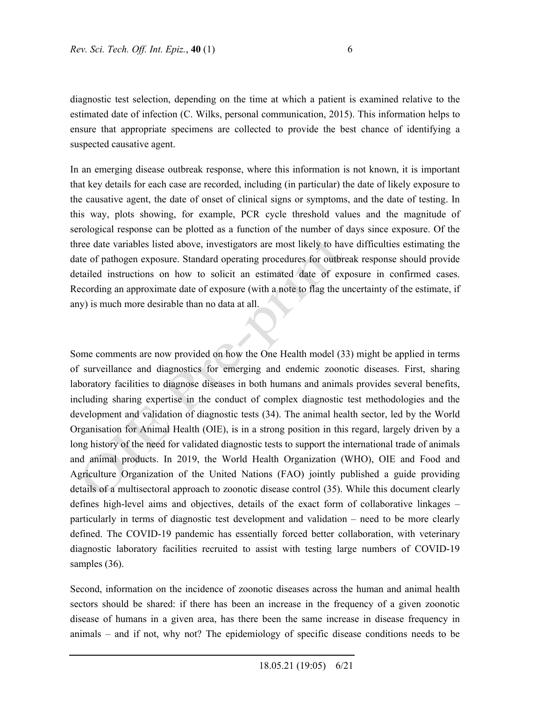diagnostic test selection, depending on the time at which a patient is examined relative to the estimated date of infection (C. Wilks, personal communication, 2015). This information helps to ensure that appropriate specimens are collected to provide the best chance of identifying a suspected causative agent.

In an emerging disease outbreak response, where this information is not known, it is important that key details for each case are recorded, including (in particular) the date of likely exposure to the causative agent, the date of onset of clinical signs or symptoms, and the date of testing. In this way, plots showing, for example, PCR cycle threshold values and the magnitude of serological response can be plotted as a function of the number of days since exposure. Of the three date variables listed above, investigators are most likely to have difficulties estimating the date of pathogen exposure. Standard operating procedures for outbreak response should provide detailed instructions on how to solicit an estimated date of exposure in confirmed cases. Recording an approximate date of exposure (with a note to flag the uncertainty of the estimate, if any) is much more desirable than no data at all.

Some comments are now provided on how the One Health model (33) might be applied in terms of surveillance and diagnostics for emerging and endemic zoonotic diseases. First, sharing laboratory facilities to diagnose diseases in both humans and animals provides several benefits, including sharing expertise in the conduct of complex diagnostic test methodologies and the development and validation of diagnostic tests (34). The animal health sector, led by the World Organisation for Animal Health (OIE), is in a strong position in this regard, largely driven by a long history of the need for validated diagnostic tests to support the international trade of animals and animal products. In 2019, the World Health Organization (WHO), OIE and Food and Agriculture Organization of the United Nations (FAO) jointly published a guide providing details of a multisectoral approach to zoonotic disease control (35). While this document clearly defines high-level aims and objectives, details of the exact form of collaborative linkages – particularly in terms of diagnostic test development and validation – need to be more clearly defined. The COVID-19 pandemic has essentially forced better collaboration, with veterinary diagnostic laboratory facilities recruited to assist with testing large numbers of COVID-19 samples (36).

Second, information on the incidence of zoonotic diseases across the human and animal health sectors should be shared: if there has been an increase in the frequency of a given zoonotic disease of humans in a given area, has there been the same increase in disease frequency in animals – and if not, why not? The epidemiology of specific disease conditions needs to be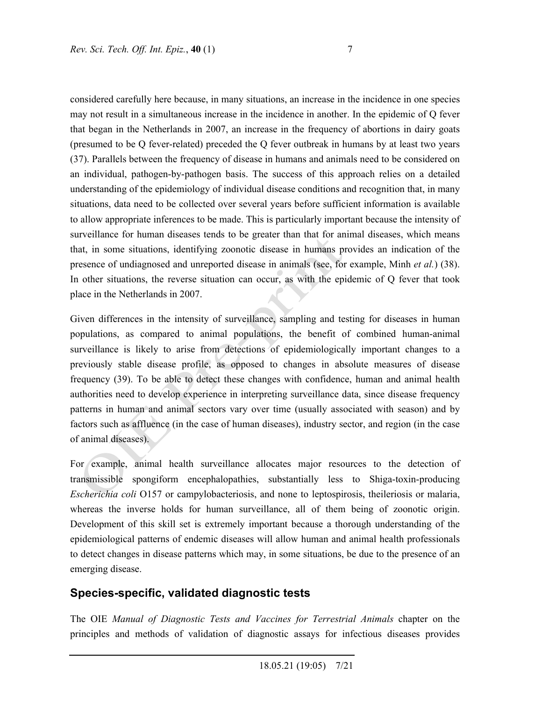considered carefully here because, in many situations, an increase in the incidence in one species may not result in a simultaneous increase in the incidence in another. In the epidemic of Q fever that began in the Netherlands in 2007, an increase in the frequency of abortions in dairy goats (presumed to be Q fever-related) preceded the Q fever outbreak in humans by at least two years (37). Parallels between the frequency of disease in humans and animals need to be considered on an individual, pathogen-by-pathogen basis. The success of this approach relies on a detailed understanding of the epidemiology of individual disease conditions and recognition that, in many situations, data need to be collected over several years before sufficient information is available to allow appropriate inferences to be made. This is particularly important because the intensity of surveillance for human diseases tends to be greater than that for animal diseases, which means that, in some situations, identifying zoonotic disease in humans provides an indication of the presence of undiagnosed and unreported disease in animals (see, for example, Minh *et al.*) (38). In other situations, the reverse situation can occur, as with the epidemic of Q fever that took place in the Netherlands in 2007.

Given differences in the intensity of surveillance, sampling and testing for diseases in human populations, as compared to animal populations, the benefit of combined human-animal surveillance is likely to arise from detections of epidemiologically important changes to a previously stable disease profile, as opposed to changes in absolute measures of disease frequency (39). To be able to detect these changes with confidence, human and animal health authorities need to develop experience in interpreting surveillance data, since disease frequency patterns in human and animal sectors vary over time (usually associated with season) and by factors such as affluence (in the case of human diseases), industry sector, and region (in the case of animal diseases).

For example, animal health surveillance allocates major resources to the detection of transmissible spongiform encephalopathies, substantially less to Shiga-toxin-producing *Escherichia coli* O157 or campylobacteriosis, and none to leptospirosis, theileriosis or malaria, whereas the inverse holds for human surveillance, all of them being of zoonotic origin. Development of this skill set is extremely important because a thorough understanding of the epidemiological patterns of endemic diseases will allow human and animal health professionals to detect changes in disease patterns which may, in some situations, be due to the presence of an emerging disease.

## **Species-specific, validated diagnostic tests**

The OIE *Manual of Diagnostic Tests and Vaccines for Terrestrial Animals* chapter on the principles and methods of validation of diagnostic assays for infectious diseases provides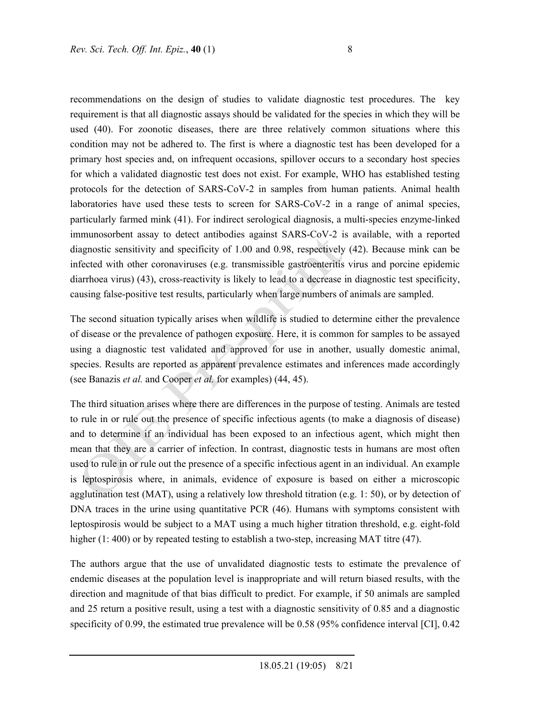recommendations on the design of studies to validate diagnostic test procedures. The key requirement is that all diagnostic assays should be validated for the species in which they will be used (40). For zoonotic diseases, there are three relatively common situations where this condition may not be adhered to. The first is where a diagnostic test has been developed for a primary host species and, on infrequent occasions, spillover occurs to a secondary host species for which a validated diagnostic test does not exist. For example, WHO has established testing protocols for the detection of SARS-CoV-2 in samples from human patients. Animal health laboratories have used these tests to screen for SARS-CoV-2 in a range of animal species, particularly farmed mink (41). For indirect serological diagnosis, a multi-species enzyme-linked immunosorbent assay to detect antibodies against SARS-CoV-2 is available, with a reported diagnostic sensitivity and specificity of 1.00 and 0.98, respectively (42). Because mink can be infected with other coronaviruses (e.g. transmissible gastroenteritis virus and porcine epidemic diarrhoea virus) (43), cross-reactivity is likely to lead to a decrease in diagnostic test specificity, causing false-positive test results, particularly when large numbers of animals are sampled.

The second situation typically arises when wildlife is studied to determine either the prevalence of disease or the prevalence of pathogen exposure. Here, it is common for samples to be assayed using a diagnostic test validated and approved for use in another, usually domestic animal, species. Results are reported as apparent prevalence estimates and inferences made accordingly (see Banazis *et al.* and Cooper *et al.* for examples) (44, 45).

The third situation arises where there are differences in the purpose of testing. Animals are tested to rule in or rule out the presence of specific infectious agents (to make a diagnosis of disease) and to determine if an individual has been exposed to an infectious agent, which might then mean that they are a carrier of infection. In contrast, diagnostic tests in humans are most often used to rule in or rule out the presence of a specific infectious agent in an individual. An example is leptospirosis where, in animals, evidence of exposure is based on either a microscopic agglutination test (MAT), using a relatively low threshold titration (e.g. 1: 50), or by detection of DNA traces in the urine using quantitative PCR (46). Humans with symptoms consistent with leptospirosis would be subject to a MAT using a much higher titration threshold, e.g. eight-fold higher (1: 400) or by repeated testing to establish a two-step, increasing MAT titre (47).

The authors argue that the use of unvalidated diagnostic tests to estimate the prevalence of endemic diseases at the population level is inappropriate and will return biased results, with the direction and magnitude of that bias difficult to predict. For example, if 50 animals are sampled and 25 return a positive result, using a test with a diagnostic sensitivity of 0.85 and a diagnostic specificity of 0.99, the estimated true prevalence will be 0.58 (95% confidence interval [CI], 0.42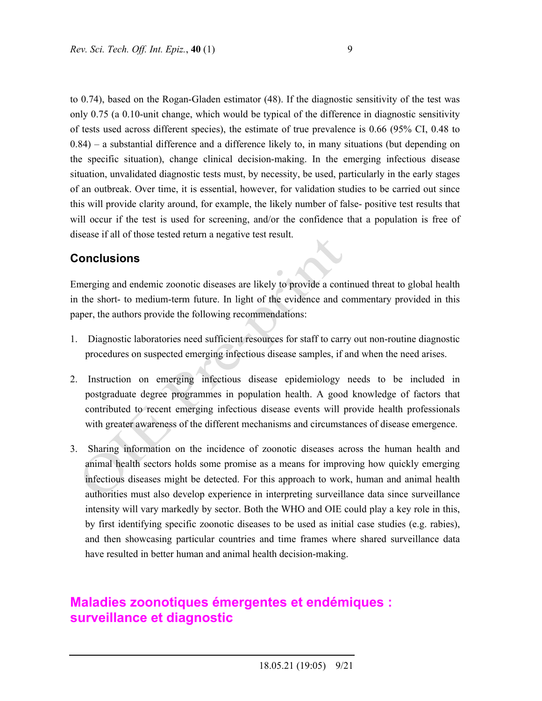to 0.74), based on the Rogan-Gladen estimator (48). If the diagnostic sensitivity of the test was only 0.75 (a 0.10-unit change, which would be typical of the difference in diagnostic sensitivity of tests used across different species), the estimate of true prevalence is 0.66 (95% CI, 0.48 to 0.84) – a substantial difference and a difference likely to, in many situations (but depending on the specific situation), change clinical decision-making. In the emerging infectious disease situation, unvalidated diagnostic tests must, by necessity, be used, particularly in the early stages of an outbreak. Over time, it is essential, however, for validation studies to be carried out since this will provide clarity around, for example, the likely number of false- positive test results that will occur if the test is used for screening, and/or the confidence that a population is free of disease if all of those tested return a negative test result.

### **Conclusions**

Emerging and endemic zoonotic diseases are likely to provide a continued threat to global health in the short- to medium-term future. In light of the evidence and commentary provided in this paper, the authors provide the following recommendations:

- 1. Diagnostic laboratories need sufficient resources for staff to carry out non-routine diagnostic procedures on suspected emerging infectious disease samples, if and when the need arises.
- 2. Instruction on emerging infectious disease epidemiology needs to be included in postgraduate degree programmes in population health. A good knowledge of factors that contributed to recent emerging infectious disease events will provide health professionals with greater awareness of the different mechanisms and circumstances of disease emergence.
- 3. Sharing information on the incidence of zoonotic diseases across the human health and animal health sectors holds some promise as a means for improving how quickly emerging infectious diseases might be detected. For this approach to work, human and animal health authorities must also develop experience in interpreting surveillance data since surveillance intensity will vary markedly by sector. Both the WHO and OIE could play a key role in this, by first identifying specific zoonotic diseases to be used as initial case studies (e.g. rabies), and then showcasing particular countries and time frames where shared surveillance data have resulted in better human and animal health decision-making.

# **Maladies zoonotiques émergentes et endémiques : surveillance et diagnostic**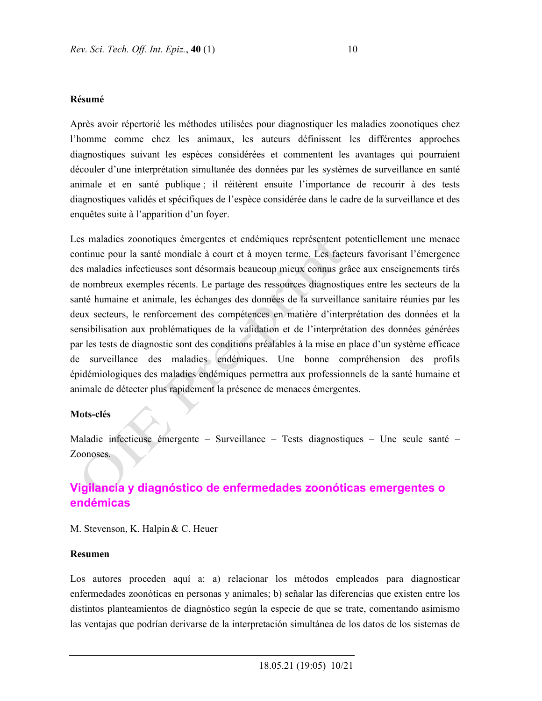#### **Résumé**

Après avoir répertorié les méthodes utilisées pour diagnostiquer les maladies zoonotiques chez l'homme comme chez les animaux, les auteurs définissent les différentes approches diagnostiques suivant les espèces considérées et commentent les avantages qui pourraient découler d'une interprétation simultanée des données par les systèmes de surveillance en santé animale et en santé publique ; il réitèrent ensuite l'importance de recourir à des tests diagnostiques validés et spécifiques de l'espèce considérée dans le cadre de la surveillance et des enquêtes suite à l'apparition d'un foyer.

Les maladies zoonotiques émergentes et endémiques représentent potentiellement une menace continue pour la santé mondiale à court et à moyen terme. Les facteurs favorisant l'émergence des maladies infectieuses sont désormais beaucoup mieux connus grâce aux enseignements tirés de nombreux exemples récents. Le partage des ressources diagnostiques entre les secteurs de la santé humaine et animale, les échanges des données de la surveillance sanitaire réunies par les deux secteurs, le renforcement des compétences en matière d'interprétation des données et la sensibilisation aux problématiques de la validation et de l'interprétation des données générées par les tests de diagnostic sont des conditions préalables à la mise en place d'un système efficace de surveillance des maladies endémiques. Une bonne compréhension des profils épidémiologiques des maladies endémiques permettra aux professionnels de la santé humaine et animale de détecter plus rapidement la présence de menaces émergentes.

#### **Mots-clés**

Maladie infectieuse émergente – Surveillance – Tests diagnostiques – Une seule santé – Zoonoses.

## **Vigilancia y diagnóstico de enfermedades zoonóticas emergentes o endémicas**

M. Stevenson, K. Halpin & C. Heuer

#### **Resumen**

Los autores proceden aquí a: a) relacionar los métodos empleados para diagnosticar enfermedades zoonóticas en personas y animales; b) señalar las diferencias que existen entre los distintos planteamientos de diagnóstico según la especie de que se trate, comentando asimismo las ventajas que podrían derivarse de la interpretación simultánea de los datos de los sistemas de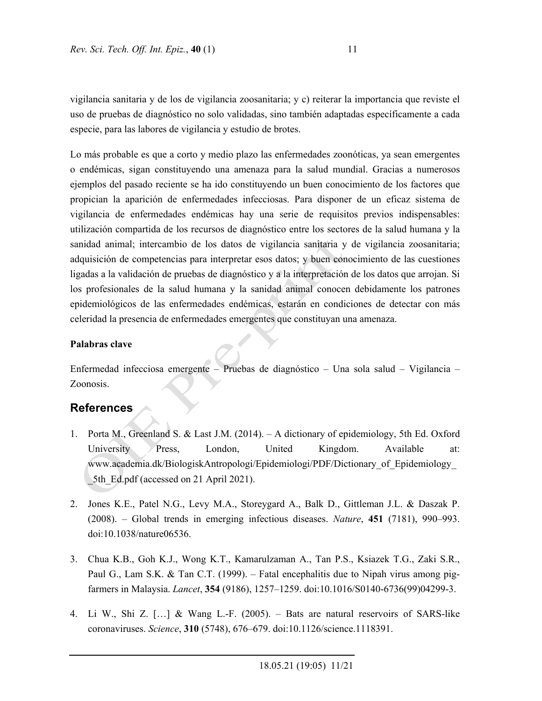vigilancia sanitaria y de los de vigilancia zoosanitaria; y c) reiterar la importancia que reviste el uso de pruebas de diagnóstico no solo validadas, sino también adaptadas específicamente a cada especie, para las labores de vigilancia y estudio de brotes.

Lo más probable es que a corto y medio plazo las enfermedades zoonóticas, ya sean emergentes o endémicas, sigan constituyendo una amenaza para la salud mundial. Gracias a numerosos ejemplos del pasado reciente se ha ido constituyendo un buen conocimiento de los factores que propician la aparición de enfermedades infecciosas. Para disponer de un eficaz sistema de vigilancia de enfermedades endémicas hay una serie de requisitos previos indispensables: utilización compartida de los recursos de diagnóstico entre los sectores de la salud humana y la sanidad animal; intercambio de los datos de vigilancia sanitaria y de vigilancia zoosanitaria; adquisición de competencias para interpretar esos datos; y buen conocimiento de las cuestiones ligadas a la validación de pruebas de diagnóstico y a la interpretación de los datos que arrojan. Si los profesionales de la salud humana y la sanidad animal conocen debidamente los patrones epidemiológicos de las enfermedades endémicas, estarán en condiciones de detectar con más celeridad la presencia de enfermedades emergentes que constituyan una amenaza.

#### **Palabras clave**

Enfermedad infecciosa emergente – Pruebas de diagnóstico – Una sola salud – Vigilancia – Zoonosis.

## **References**

- 1. Porta M., Greenland S. & Last J.M. (2014). A dictionary of epidemiology, 5th Ed. Oxford University Press, London, United Kingdom. Available at: www.academia.dk/BiologiskAntropologi/Epidemiologi/PDF/Dictionary\_of\_Epidemiology\_ 5th Ed.pdf (accessed on 21 April 2021).
- 2. Jones K.E., Patel N.G., Levy M.A., Storeygard A., Balk D., Gittleman J.L. & Daszak P. (2008). – Global trends in emerging infectious diseases. *Nature*, **451** (7181), 990–993. doi:10.1038/nature06536.
- 3. Chua K.B., Goh K.J., Wong K.T., Kamarulzaman A., Tan P.S., Ksiazek T.G., Zaki S.R., Paul G., Lam S.K. & Tan C.T. (1999). – Fatal encephalitis due to Nipah virus among pigfarmers in Malaysia. *Lancet*, **354** (9186), 1257–1259. doi:10.1016/S0140-6736(99)04299-3.
- 4. Li W., Shi Z. […] & Wang L.-F. (2005). Bats are natural reservoirs of SARS-like coronaviruses. *Science*, **310** (5748), 676–679. doi:10.1126/science.1118391.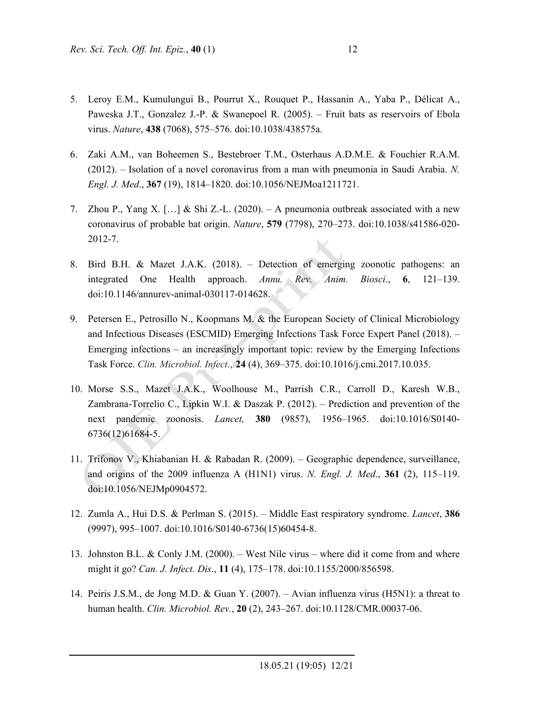- 5. Leroy E.M., Kumulungui B., Pourrut X., Rouquet P., Hassanin A., Yaba P., Délicat A., Paweska J.T., Gonzalez J.-P. & Swanepoel R. (2005). – Fruit bats as reservoirs of Ebola virus. *Nature*, **438** (7068), 575–576. doi:10.1038/438575a.
- 6. Zaki A.M., van Boheemen S., Bestebroer T.M., Osterhaus A.D.M.E. & Fouchier R.A.M. (2012). – Isolation of a novel coronavirus from a man with pneumonia in Saudi Arabia. *N. Engl. J. Med*., **367** (19), 1814–1820. doi:10.1056/NEJMoa1211721.
- 7. Zhou P., Yang X. […] & Shi Z.-L. (2020). A pneumonia outbreak associated with a new coronavirus of probable bat origin. *Nature*, **579** (7798), 270–273. doi:10.1038/s41586-020- 2012-7.
- 8. Bird B.H. & Mazet J.A.K. (2018). Detection of emerging zoonotic pathogens: an integrated One Health approach. *Annu. Rev. Anim. Biosci*., **6**, 121–139. doi:10.1146/annurev-animal-030117-014628.
- 9. Petersen E., Petrosillo N., Koopmans M. & the European Society of Clinical Microbiology and Infectious Diseases (ESCMID) Emerging Infections Task Force Expert Panel (2018). – Emerging infections – an increasingly important topic: review by the Emerging Infections Task Force. *Clin. Microbiol. Infect.*, **24** (4), 369–375. doi:10.1016/j.cmi.2017.10.035.
- 10. Morse S.S., Mazet J.A.K., Woolhouse M., Parrish C.R., Carroll D., Karesh W.B., Zambrana-Torrelio C., Lipkin W.I. & Daszak P. (2012). – Prediction and prevention of the next pandemic zoonosis. *Lancet,* **380** (9857), 1956–1965. doi:10.1016/S0140- 6736(12)61684-5.
- 11. Trifonov V., Khiabanian H. & Rabadan R. (2009). Geographic dependence, surveillance, and origins of the 2009 influenza A (H1N1) virus. *N. Engl. J. Med*., **361** (2), 115–119. doi:10.1056/NEJMp0904572.
- 12. Zumla A., Hui D.S. & Perlman S. (2015). Middle East respiratory syndrome. *Lancet*, **386** (9997), 995–1007. doi:10.1016/S0140-6736(15)60454-8.
- 13. Johnston B.L. & Conly J.M. (2000). West Nile virus where did it come from and where might it go? *Can. J. Infect. Dis*., **11** (4), 175–178. doi:10.1155/2000/856598.
- 14. Peiris J.S.M., de Jong M.D. & Guan Y. (2007). Avian influenza virus (H5N1): a threat to human health. *Clin. Microbiol. Rev.*, **20** (2), 243–267. doi:10.1128/CMR.00037-06.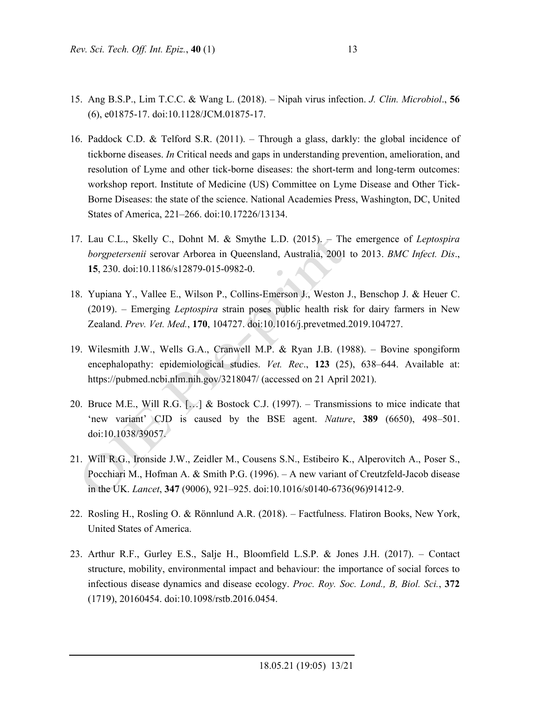- 15. Ang B.S.P., Lim T.C.C. & Wang L. (2018). Nipah virus infection. *J. Clin. Microbiol*., **56** (6), e01875-17. doi:10.1128/JCM.01875-17.
- 16. Paddock C.D. & Telford S.R. (2011). Through a glass, darkly: the global incidence of tickborne diseases. *In* Critical needs and gaps in understanding prevention, amelioration, and resolution of Lyme and other tick-borne diseases: the short-term and long-term outcomes: workshop report. Institute of Medicine (US) Committee on Lyme Disease and Other Tick-Borne Diseases: the state of the science. National Academies Press, Washington, DC, United States of America, 221–266. doi:10.17226/13134.
- 17. Lau C.L., Skelly C., Dohnt M. & Smythe L.D. (2015). The emergence of *Leptospira borgpetersenii* serovar Arborea in Queensland, Australia, 2001 to 2013. *BMC Infect. Dis*., **15**, 230. doi:10.1186/s12879-015-0982-0.
- 18. Yupiana Y., Vallee E., Wilson P., Collins-Emerson J., Weston J., Benschop J. & Heuer C. (2019). – Emerging *Leptospira* strain poses public health risk for dairy farmers in New Zealand. *Prev. Vet. Med.*, **170**, 104727. doi:10.1016/j.prevetmed.2019.104727.
- 19. Wilesmith J.W., Wells G.A., Cranwell M.P. & Ryan J.B. (1988). Bovine spongiform encephalopathy: epidemiological studies. *Vet. Rec*., **123** (25), 638–644. Available at: https://pubmed.ncbi.nlm.nih.gov/3218047/ (accessed on 21 April 2021).
- 20. Bruce M.E., Will R.G. […] & Bostock C.J. (1997). Transmissions to mice indicate that 'new variant' CJD is caused by the BSE agent. *Nature*, **389** (6650), 498–501. doi:10.1038/39057.
- 21. Will R.G., Ironside J.W., Zeidler M., Cousens S.N., Estibeiro K., Alperovitch A., Poser S., Pocchiari M., Hofman A. & Smith P.G. (1996). – A new variant of Creutzfeld-Jacob disease in the UK. *Lancet*, **347** (9006), 921–925. doi:10.1016/s0140-6736(96)91412-9.
- 22. Rosling H., Rosling O. & Rönnlund A.R. (2018). Factfulness. Flatiron Books, New York, United States of America.
- 23. Arthur R.F., Gurley E.S., Salje H., Bloomfield L.S.P. & Jones J.H. (2017). Contact structure, mobility, environmental impact and behaviour: the importance of social forces to infectious disease dynamics and disease ecology. *Proc. Roy. Soc. Lond., B, Biol. Sci.*, **372** (1719), 20160454. doi:10.1098/rstb.2016.0454.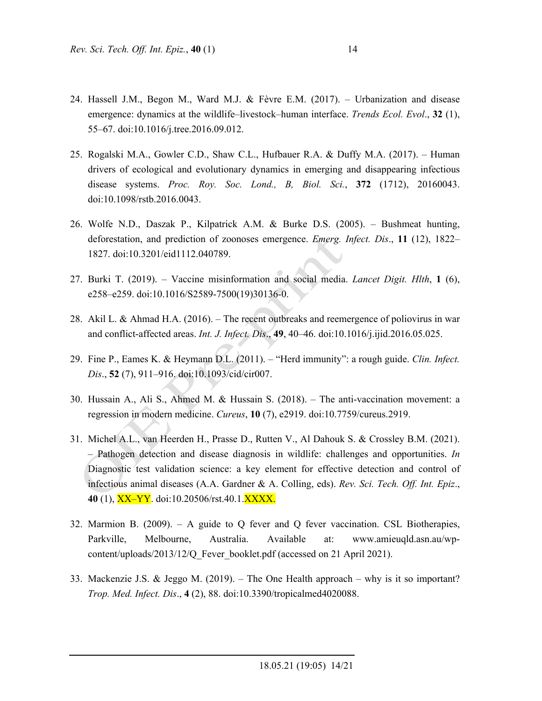- 24. Hassell J.M., Begon M., Ward M.J. & Fèvre E.M. (2017). Urbanization and disease emergence: dynamics at the wildlife–livestock–human interface. *Trends Ecol. Evol*., **32** (1), 55–67. doi:10.1016/j.tree.2016.09.012.
- 25. Rogalski M.A., Gowler C.D., Shaw C.L., Hufbauer R.A. & Duffy M.A. (2017). Human drivers of ecological and evolutionary dynamics in emerging and disappearing infectious disease systems. *Proc. Roy. Soc. Lond., B, Biol. Sci.*, **372** (1712), 20160043. doi:10.1098/rstb.2016.0043.
- 26. Wolfe N.D., Daszak P., Kilpatrick A.M. & Burke D.S. (2005). Bushmeat hunting, deforestation, and prediction of zoonoses emergence. *Emerg. Infect. Dis*., **11** (12), 1822– 1827. doi:10.3201/eid1112.040789.
- 27. Burki T. (2019). Vaccine misinformation and social media. *Lancet Digit. Hlth*, **1** (6), e258–e259. doi:10.1016/S2589-7500(19)30136-0.
- 28. Akil L. & Ahmad H.A. (2016). The recent outbreaks and reemergence of poliovirus in war and conflict-affected areas. *Int. J. Infect. Dis*., **49**, 40–46. doi:10.1016/j.ijid.2016.05.025.
- 29. Fine P., Eames K. & Heymann D.L. (2011). "Herd immunity": a rough guide. *Clin. Infect. Dis*., **52** (7), 911–916. doi:10.1093/cid/cir007.
- 30. Hussain A., Ali S., Ahmed M. & Hussain S. (2018). The anti-vaccination movement: a regression in modern medicine. *Cureus*, **10** (7), e2919. doi:10.7759/cureus.2919.
- 31. Michel A.L., van Heerden H., Prasse D., Rutten V., Al Dahouk S. & Crossley B.M. (2021). – Pathogen detection and disease diagnosis in wildlife: challenges and opportunities. *In* Diagnostic test validation science: a key element for effective detection and control of infectious animal diseases (A.A. Gardner & A. Colling, eds). *Rev. Sci. Tech. Off. Int. Epiz*., **40** (1), XX–YY. doi:10.20506/rst.40.1.XXXX.
- 32. Marmion B. (2009). A guide to Q fever and Q fever vaccination. CSL Biotherapies, Parkville, Melbourne, Australia. Available at: www.amieuqld.asn.au/wpcontent/uploads/2013/12/Q\_Fever\_booklet.pdf (accessed on 21 April 2021).
- 33. Mackenzie J.S. & Jeggo M. (2019). The One Health approach why is it so important? *Trop. Med. Infect. Dis*., **4** (2), 88. doi:10.3390/tropicalmed4020088.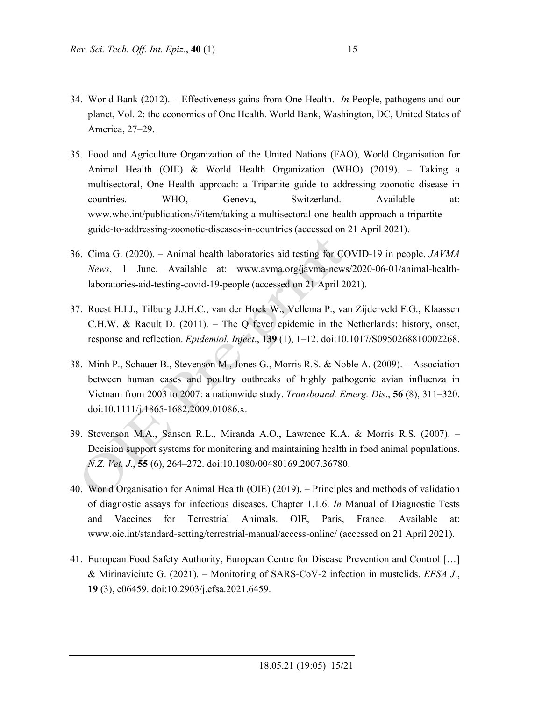- 34. World Bank (2012). Effectiveness gains from One Health. *In* People, pathogens and our planet, Vol. 2: the economics of One Health. World Bank, Washington, DC, United States of America, 27–29.
- 35. Food and Agriculture Organization of the United Nations (FAO), World Organisation for Animal Health (OIE) & World Health Organization (WHO) (2019). – Taking a multisectoral, One Health approach: a Tripartite guide to addressing zoonotic disease in countries. WHO, Geneva, Switzerland. Available at: www.who.int/publications/i/item/taking-a-multisectoral-one-health-approach-a-tripartiteguide-to-addressing-zoonotic-diseases-in-countries (accessed on 21 April 2021).
- 36. Cima G. (2020). Animal health laboratories aid testing for COVID-19 in people. *JAVMA News*, 1 June. Available at: www.avma.org/javma-news/2020-06-01/animal-healthlaboratories-aid-testing-covid-19-people (accessed on 21 April 2021).
- 37. Roest H.I.J., Tilburg J.J.H.C., van der Hoek W., Vellema P., van Zijderveld F.G., Klaassen C.H.W. & Raoult D. (2011). – The Q fever epidemic in the Netherlands: history, onset, response and reflection. *Epidemiol. Infect*., **139** (1), 1–12. doi:10.1017/S0950268810002268.
- 38. Minh P., Schauer B., Stevenson M., Jones G., Morris R.S. & Noble A. (2009). Association between human cases and poultry outbreaks of highly pathogenic avian influenza in Vietnam from 2003 to 2007: a nationwide study. *Transbound. Emerg. Dis*., **56** (8), 311–320. doi:10.1111/j.1865-1682.2009.01086.x.
- 39. Stevenson M.A., Sanson R.L., Miranda A.O., Lawrence K.A. & Morris R.S. (2007). Decision support systems for monitoring and maintaining health in food animal populations. *N.Z. Vet. J*., **55** (6), 264–272. doi:10.1080/00480169.2007.36780.
- 40. World Organisation for Animal Health (OIE) (2019). Principles and methods of validation of diagnostic assays for infectious diseases. Chapter 1.1.6. *In* Manual of Diagnostic Tests and Vaccines for Terrestrial Animals. OIE, Paris, France. Available at: www.oie.int/standard-setting/terrestrial-manual/access-online/ (accessed on 21 April 2021).
- 41. European Food Safety Authority, European Centre for Disease Prevention and Control […] & Mirinaviciute G. (2021). – Monitoring of SARS-CoV-2 infection in mustelids. *EFSA J*., **19** (3), e06459. doi:10.2903/j.efsa.2021.6459.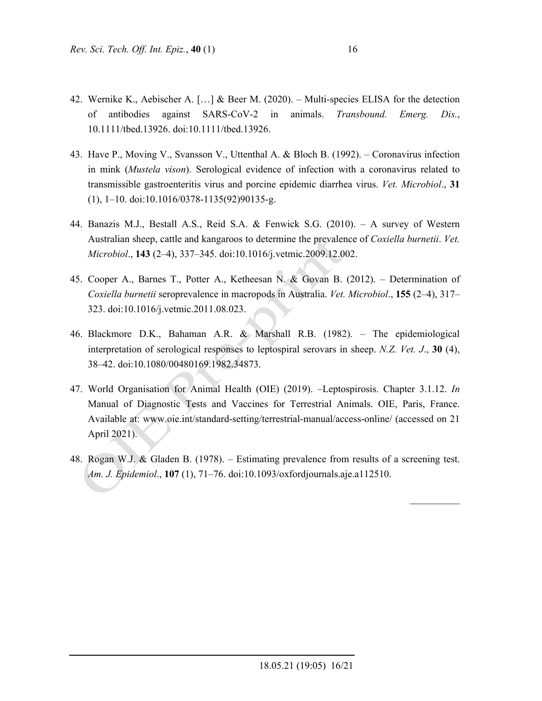- 42. Wernike K., Aebischer A. […] & Beer M. (2020). Multi-species ELISA for the detection of antibodies against SARS-CoV-2 in animals. *Transbound. Emerg. Dis.*, 10.1111/tbed.13926. doi:10.1111/tbed.13926.
- 43. Have P., Moving V., Svansson V., Uttenthal A. & Bloch B. (1992). Coronavirus infection in mink (*Mustela vison*). Serological evidence of infection with a coronavirus related to transmissible gastroenteritis virus and porcine epidemic diarrhea virus. *Vet. Microbiol*., **31** (1), 1–10. doi:10.1016/0378-1135(92)90135-g.
- 44. Banazis M.J., Bestall A.S., Reid S.A. & Fenwick S.G. (2010). A survey of Western Australian sheep, cattle and kangaroos to determine the prevalence of *Coxiella burnetii*. *Vet. Microbiol*., **143** (2–4), 337–345. doi:10.1016/j.vetmic.2009.12.002.
- 45. Cooper A., Barnes T., Potter A., Ketheesan N. & Govan B. (2012). Determination of *Coxiella burnetii* seroprevalence in macropods in Australia. *Vet. Microbiol*., **155** (2–4), 317– 323. doi:10.1016/j.vetmic.2011.08.023.
- 46. Blackmore D.K., Bahaman A.R. & Marshall R.B. (1982). The epidemiological interpretation of serological responses to leptospiral serovars in sheep. *N.Z. Vet. J*., **30** (4), 38–42. doi:10.1080/00480169.1982.34873.
- 47. World Organisation for Animal Health (OIE) (2019). –Leptospirosis. Chapter 3.1.12. *In* Manual of Diagnostic Tests and Vaccines for Terrestrial Animals. OIE, Paris, France. Available at: www.oie.int/standard-setting/terrestrial-manual/access-online/ (accessed on 21 April 2021).
- 48. Rogan W.J. & Gladen B. (1978). Estimating prevalence from results of a screening test. *Am. J. Epidemiol*., **107** (1), 71–76. doi:10.1093/oxfordjournals.aje.a112510.

 $\frac{1}{2}$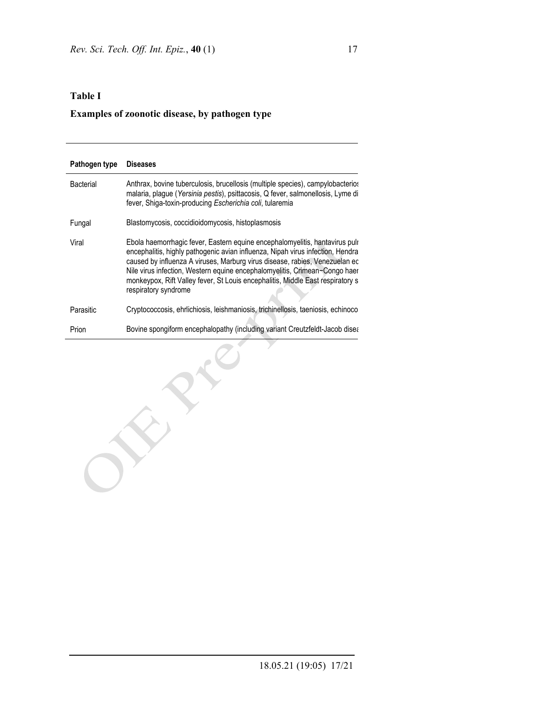## **Table I**

## **Examples of zoonotic disease, by pathogen type**

| Pathogen type | <b>Diseases</b>                                                                                                                                                                                                                                                                                                                                                                                                                      |
|---------------|--------------------------------------------------------------------------------------------------------------------------------------------------------------------------------------------------------------------------------------------------------------------------------------------------------------------------------------------------------------------------------------------------------------------------------------|
| Bacterial     | Anthrax, bovine tuberculosis, brucellosis (multiple species), campylobacterios<br>malaria, plague (Yersinia pestis), psittacosis, Q fever, salmonellosis, Lyme di<br>fever, Shiga-toxin-producing Escherichia coli, tularemia                                                                                                                                                                                                        |
| Fungal        | Blastomycosis, coccidioidomycosis, histoplasmosis                                                                                                                                                                                                                                                                                                                                                                                    |
| Viral         | Ebola haemorrhagic fever, Eastern equine encephalomyelitis, hantavirus puli<br>encephalitis, highly pathogenic avian influenza, Nipah virus infection, Hendra<br>caused by influenza A viruses, Marburg virus disease, rabies, Venezuelan ec<br>Nile virus infection, Western equine encephalomyelitis, Crimean-Congo haer<br>monkeypox, Rift Valley fever, St Louis encephalitis, Middle East respiratory s<br>respiratory syndrome |
| Parasitic     | Cryptococcosis, ehrlichiosis, leishmaniosis, trichinellosis, taeniosis, echinoco                                                                                                                                                                                                                                                                                                                                                     |
| Prion         | Bovine spongiform encephalopathy (including variant Creutzfeldt-Jacob disea                                                                                                                                                                                                                                                                                                                                                          |
|               |                                                                                                                                                                                                                                                                                                                                                                                                                                      |

ERE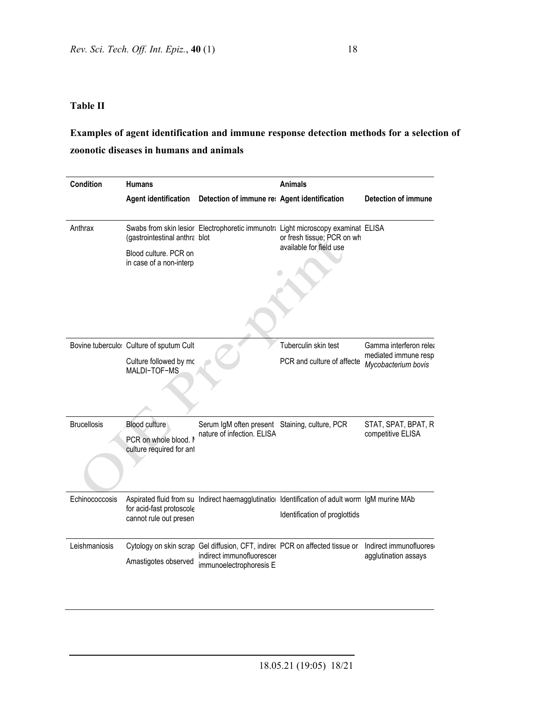## **Table II**

## **Examples of agent identification and immune response detection methods for a selection of zoonotic diseases in humans and animals**

| <b>Condition</b>   | <b>Humans</b>                                                                      |                                                                              | <b>Animals</b>                                                                                                                           |                                                                       |
|--------------------|------------------------------------------------------------------------------------|------------------------------------------------------------------------------|------------------------------------------------------------------------------------------------------------------------------------------|-----------------------------------------------------------------------|
|                    | <b>Agent identification</b>                                                        | Detection of immune re: Agent identification                                 |                                                                                                                                          | Detection of immune                                                   |
| Anthrax            | (gastrointestinal anthra blot<br>Blood culture, PCR on<br>in case of a non-interp  |                                                                              | Swabs from skin lesior Electrophoretic immunotr Light microscopy examinat ELISA<br>or fresh tissue; PCR on wh<br>available for field use |                                                                       |
|                    | Bovine tuberculo: Culture of sputum Cult<br>Culture followed by mc<br>MALDI-TOF-MS |                                                                              | Tuberculin skin test<br>PCR and culture of affecte                                                                                       | Gamma interferon relea<br>mediated immune resp<br>Mycobacterium bovis |
| <b>Brucellosis</b> | <b>Blood culture</b><br>PCR on whole blood. I<br>culture required for ant          | Serum IgM often present Staining, culture, PCR<br>nature of infection. ELISA |                                                                                                                                          | STAT, SPAT, BPAT, R<br>competitive ELISA                              |
| Echinococcosis     | for acid-fast protoscole<br>cannot rule out presen                                 |                                                                              | Aspirated fluid from su Indirect haemagglutination Identification of adult worm IgM murine MAb<br>Identification of proglottids          |                                                                       |
| Leishmaniosis      | Amastigotes observed                                                               | indirect immunofluorescer<br>immunoelectrophoresis E                         | Cytology on skin scrap Gel diffusion, CFT, indire: PCR on affected tissue or                                                             | Indirect immunofluores<br>agglutination assays                        |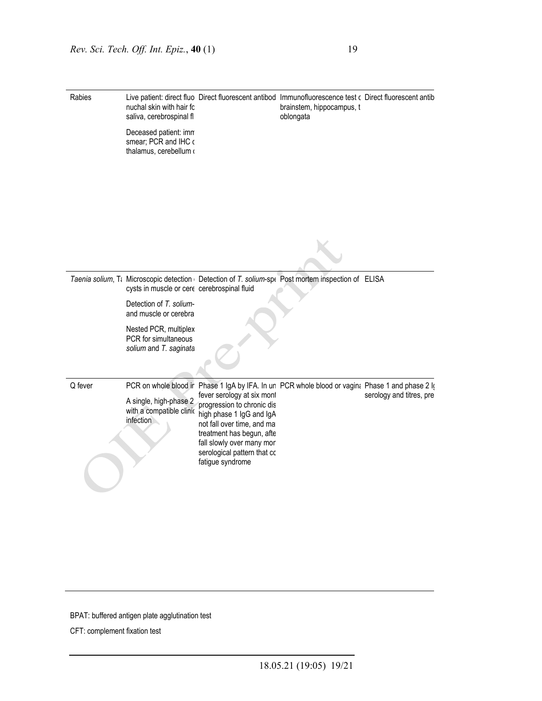| Rabies  | nuchal skin with hair fo<br>saliva, cerebrospinal fl                    |                                                                                                                                                                                                                                 | Live patient: direct fluo Direct fluorescent antibod Immunofluorescence test o Direct fluorescent antib<br>brainstem, hippocampus, t<br>oblongata |                          |
|---------|-------------------------------------------------------------------------|---------------------------------------------------------------------------------------------------------------------------------------------------------------------------------------------------------------------------------|---------------------------------------------------------------------------------------------------------------------------------------------------|--------------------------|
|         | Deceased patient: imm<br>smear; PCR and IHC o<br>thalamus, cerebellum o |                                                                                                                                                                                                                                 |                                                                                                                                                   |                          |
|         |                                                                         |                                                                                                                                                                                                                                 |                                                                                                                                                   |                          |
|         |                                                                         |                                                                                                                                                                                                                                 |                                                                                                                                                   |                          |
|         |                                                                         |                                                                                                                                                                                                                                 |                                                                                                                                                   |                          |
|         |                                                                         |                                                                                                                                                                                                                                 |                                                                                                                                                   |                          |
|         | cysts in muscle or cere cerebrospinal fluid                             |                                                                                                                                                                                                                                 | Taenia solium, Tt Microscopic detection Detection of T. solium-spt Post mortem inspection of ELISA                                                |                          |
|         | Detection of T. solium-<br>and muscle or cerebra                        |                                                                                                                                                                                                                                 |                                                                                                                                                   |                          |
|         | Nested PCR, multiplex<br>PCR for simultaneous<br>solium and T. saginata |                                                                                                                                                                                                                                 |                                                                                                                                                   |                          |
| Q fever |                                                                         |                                                                                                                                                                                                                                 | PCR on whole blood in Phase 1 lgA by IFA. In un PCR whole blood or vagin: Phase 1 and phase 2 lg                                                  |                          |
|         | A single, high-phase 2<br>with a compatible clinic<br>infection         | fever serology at six mont<br>progression to chronic dis<br>high phase 1 lgG and lgA<br>not fall over time, and ma<br>treatment has begun, afte<br>fall slowly over many mor<br>serological pattern that cc<br>fatigue syndrome |                                                                                                                                                   | serology and titres, pre |
|         |                                                                         |                                                                                                                                                                                                                                 |                                                                                                                                                   |                          |

BPAT: buffered antigen plate agglutination test

CFT: complement fixation test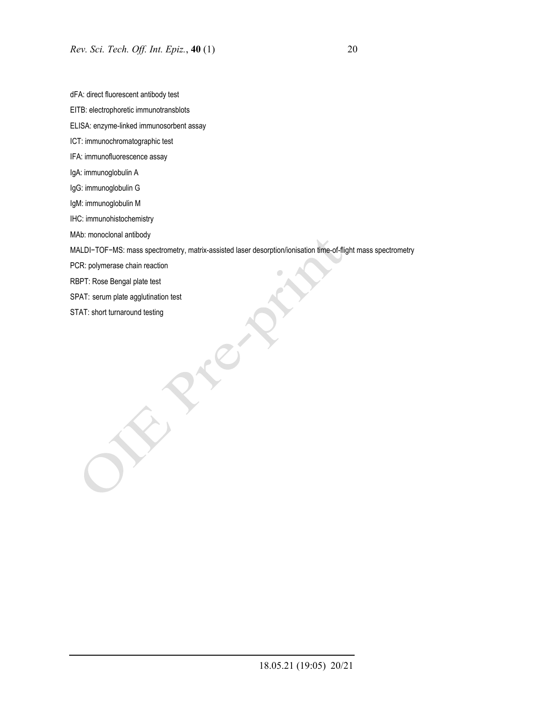- dFA: direct fluorescent antibody test
- EITB: electrophoretic immunotransblots
- ELISA: enzyme-linked immunosorbent assay
- ICT: immunochromatographic test
- IFA: immunofluorescence assay
- IgA: immunoglobulin A
- IgG: immunoglobulin G
- IgM: immunoglobulin M
- IHC: immunohistochemistry
- MAb: monoclonal antibody
- MALDI−TOF−MS: mass spectrometry, matrix-assisted laser desorption/ionisation time-of-flight mass spectrometry
- PCR: polymerase chain reaction
- RBPT: Rose Bengal plate test
- SPAT: serum plate agglutination test<br>STAT: short turnaround testing<br>And the string of the string of the string of the string of the string of the string of the string of the string of the string of the string of the string
- STAT: short turnaround testing